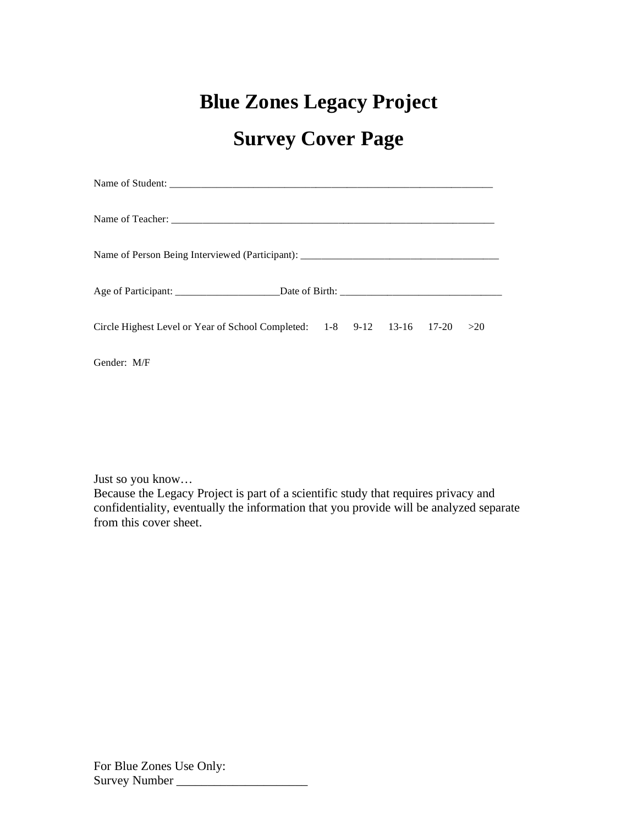# **Blue Zones Legacy Project Survey Cover Page**

| Name of Person Being Interviewed (Participant): _________________________________ |  |  |  |  |  |  |
|-----------------------------------------------------------------------------------|--|--|--|--|--|--|
|                                                                                   |  |  |  |  |  |  |
| Circle Highest Level or Year of School Completed: $1-8$ 9-12 13-16 17-20 > 20     |  |  |  |  |  |  |
| Gender: M/F                                                                       |  |  |  |  |  |  |

Just so you know…

Because the Legacy Project is part of a scientific study that requires privacy and confidentiality, eventually the information that you provide will be analyzed separate from this cover sheet.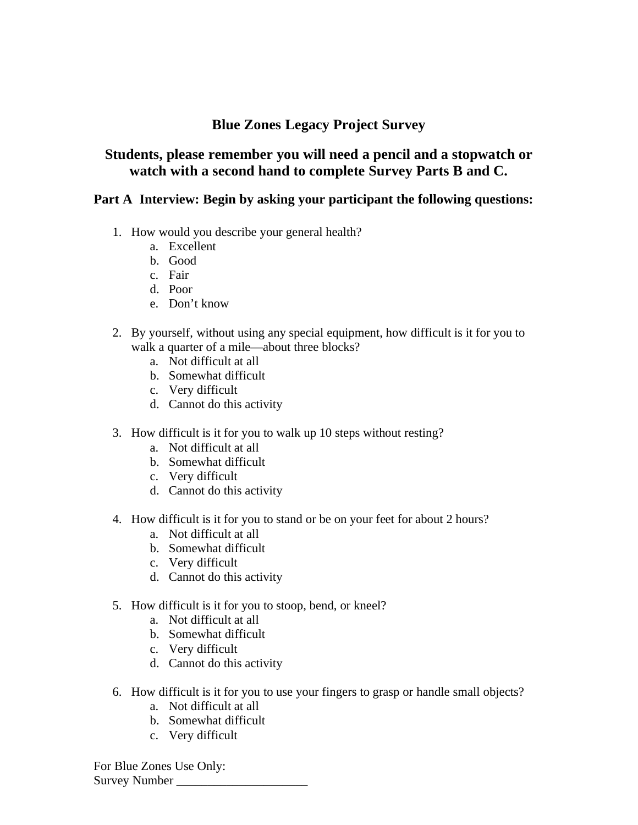# **Blue Zones Legacy Project Survey**

# **Students, please remember you will need a pencil and a stopwatch or watch with a second hand to complete Survey Parts B and C.**

### **Part A Interview: Begin by asking your participant the following questions:**

- 1. How would you describe your general health?
	- a. Excellent
	- b. Good
	- c. Fair
	- d. Poor
	- e. Don't know
- 2. By yourself, without using any special equipment, how difficult is it for you to walk a quarter of a mile—about three blocks?
	- a. Not difficult at all
	- b. Somewhat difficult
	- c. Very difficult
	- d. Cannot do this activity
- 3. How difficult is it for you to walk up 10 steps without resting?
	- a. Not difficult at all
	- b. Somewhat difficult
	- c. Very difficult
	- d. Cannot do this activity
- 4. How difficult is it for you to stand or be on your feet for about 2 hours?
	- a. Not difficult at all
	- b. Somewhat difficult
	- c. Very difficult
	- d. Cannot do this activity
- 5. How difficult is it for you to stoop, bend, or kneel?
	- a. Not difficult at all
	- b. Somewhat difficult
	- c. Very difficult
	- d. Cannot do this activity
- 6. How difficult is it for you to use your fingers to grasp or handle small objects?
	- a. Not difficult at all
	- b. Somewhat difficult
	- c. Very difficult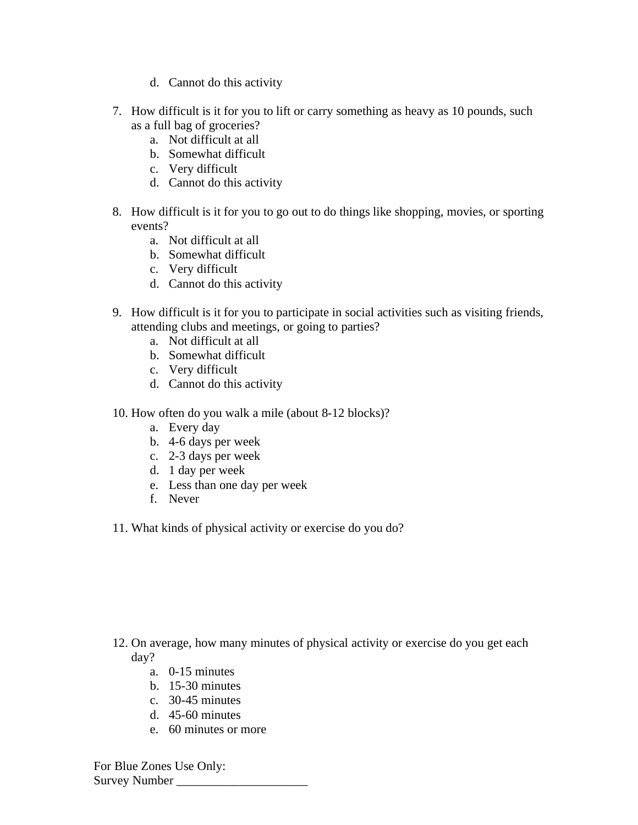- d. Cannot do this activity
- 7. How difficult is it for you to lift or carry something as heavy as 10 pounds, such as a full bag of groceries?
	- a. Not difficult at all
	- b. Somewhat difficult
	- c. Very difficult
	- d. Cannot do this activity
- 8. How difficult is it for you to go out to do things like shopping, movies, or sporting events?
	- a. Not difficult at all
	- b. Somewhat difficult
	- c. Very difficult
	- d. Cannot do this activity
- 9. How difficult is it for you to participate in social activities such as visiting friends, attending clubs and meetings, or going to parties?
	- a. Not difficult at all
	- b. Somewhat difficult
	- c. Very difficult
	- d. Cannot do this activity
- 10. How often do you walk a mile (about 8-12 blocks)?
	- a. Every day
	- b. 4-6 days per week
	- c. 2-3 days per week
	- d. 1 day per week
	- e. Less than one day per week
	- f. Never
- 11. What kinds of physical activity or exercise do you do?

- 12. On average, how many minutes of physical activity or exercise do you get each day?
	- a. 0-15 minutes
	- b. 15-30 minutes
	- c. 30-45 minutes
	- d. 45-60 minutes
	- e. 60 minutes or more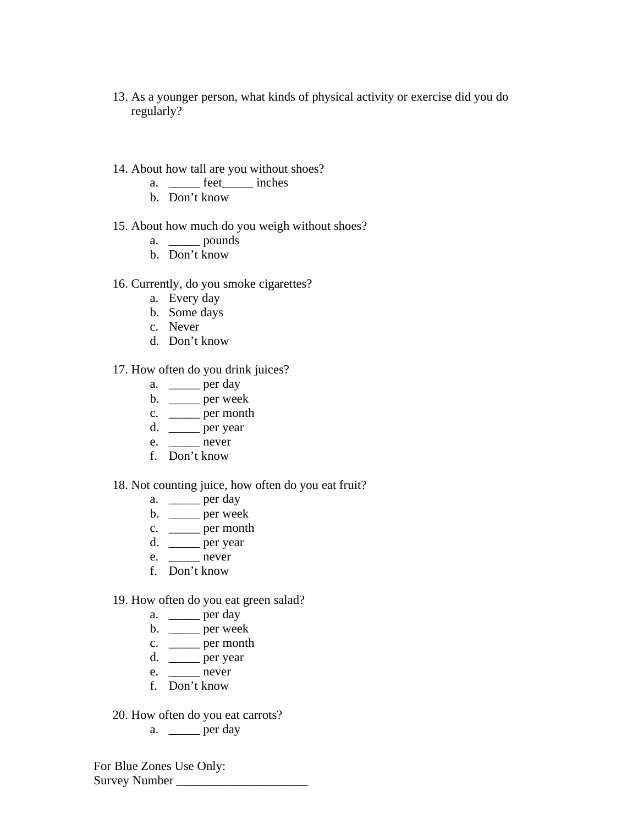- 13. As a younger person, what kinds of physical activity or exercise did you do regularly?
- 14. About how tall are you without shoes?
	- a. \_\_\_\_\_ feet\_\_\_\_\_ inches
	- b. Don't know
- 15. About how much do you weigh without shoes?
	- a. <u>\_\_\_\_\_</u> pounds
	- b. Don't know

#### 16. Currently, do you smoke cigarettes?

- a. Every day
- b. Some days
- c. Never
- d. Don't know

#### 17. How often do you drink juices?

- $a. \quad \underline{\qquad}$  per day
- $b. \ \_\_$  per week
- c. \_\_\_\_\_ per month
- d. \_\_\_\_\_ per year
- e. \_\_\_\_\_ never
- f. Don't know

#### 18. Not counting juice, how often do you eat fruit?

- a. \_\_\_\_\_\_ per day
- b. \_\_\_\_\_ per week
- c. \_\_\_\_\_\_ per month
- d. \_\_\_\_\_ per year
- $e.$  \_\_\_\_\_\_\_ never
- f. Don't know

#### 19. How often do you eat green salad?

- a.  $\rangle$  per day
- $b. \_\_$  per week
- c. \_\_\_\_\_\_ per month
- $d. \_\_$  per year
- $e.$  \_\_\_\_\_\_\_ never
- f. Don't know
- 20. How often do you eat carrots?
	- a.  $\rightharpoonup$  per day

For Blue Zones Use Only: Survey Number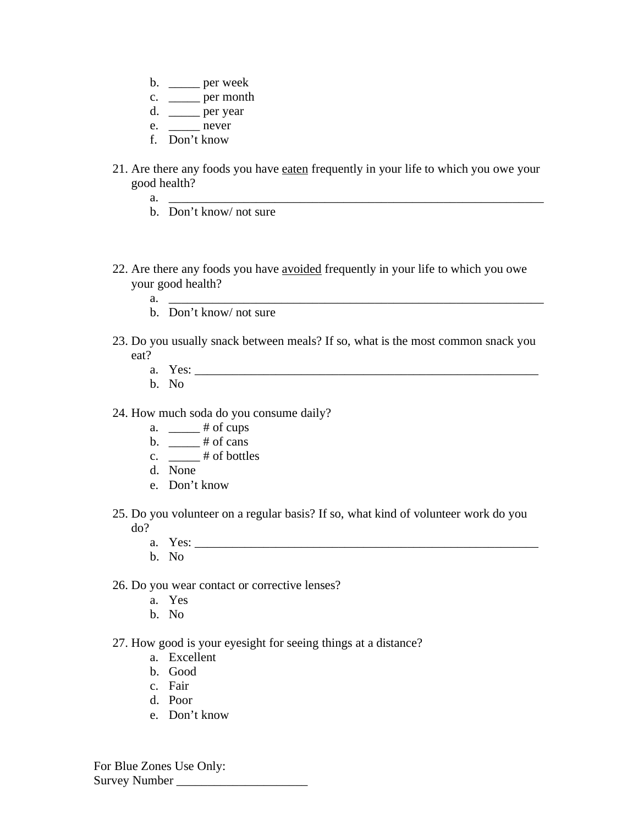- $b. \quad \underline{\hspace{2cm}}$  per week
- c. \_\_\_\_\_\_ per month
- d.  $\rule{1em}{0.15mm}$  per year
- e. hever
- f. Don't know
- 21. Are there any foods you have eaten frequently in your life to which you owe your good health?
	- a. \_\_\_\_\_\_\_\_\_\_\_\_\_\_\_\_\_\_\_\_\_\_\_\_\_\_\_\_\_\_\_\_\_\_\_\_\_\_\_\_\_\_\_\_\_\_\_\_\_\_\_\_\_\_\_\_\_\_\_\_
	- b. Don't know/ not sure
- 22. Are there any foods you have avoided frequently in your life to which you owe your good health?
	- a. \_\_\_\_\_\_\_\_\_\_\_\_\_\_\_\_\_\_\_\_\_\_\_\_\_\_\_\_\_\_\_\_\_\_\_\_\_\_\_\_\_\_\_\_\_\_\_\_\_\_\_\_\_\_\_\_\_\_\_\_
	- b. Don't know/ not sure
- 23. Do you usually snack between meals? If so, what is the most common snack you eat?
	- a. Yes: \_\_\_\_\_\_\_\_\_\_\_\_\_\_\_\_\_\_\_\_\_\_\_\_\_\_\_\_\_\_\_\_\_\_\_\_\_\_\_\_\_\_\_\_\_\_\_\_\_\_\_\_\_\_\_
	- b. No
- 24. How much soda do you consume daily?
	- a.  $\_\_\_\_\$  # of cups
	- b.  $\frac{4}{100}$  # of cans
	- c.  $\frac{4}{100}$  # of bottles
	- d. None
	- e. Don't know
- 25. Do you volunteer on a regular basis? If so, what kind of volunteer work do you do?
	- a. Yes: \_\_\_\_\_\_\_\_\_\_\_\_\_\_\_\_\_\_\_\_\_\_\_\_\_\_\_\_\_\_\_\_\_\_\_\_\_\_\_\_\_\_\_\_\_\_\_\_\_\_\_\_\_\_\_
	- b. No
- 26. Do you wear contact or corrective lenses?
	- a. Yes
	- b. No
- 27. How good is your eyesight for seeing things at a distance?
	- a. Excellent
	- b. Good
	- c. Fair
	- d. Poor
	- e. Don't know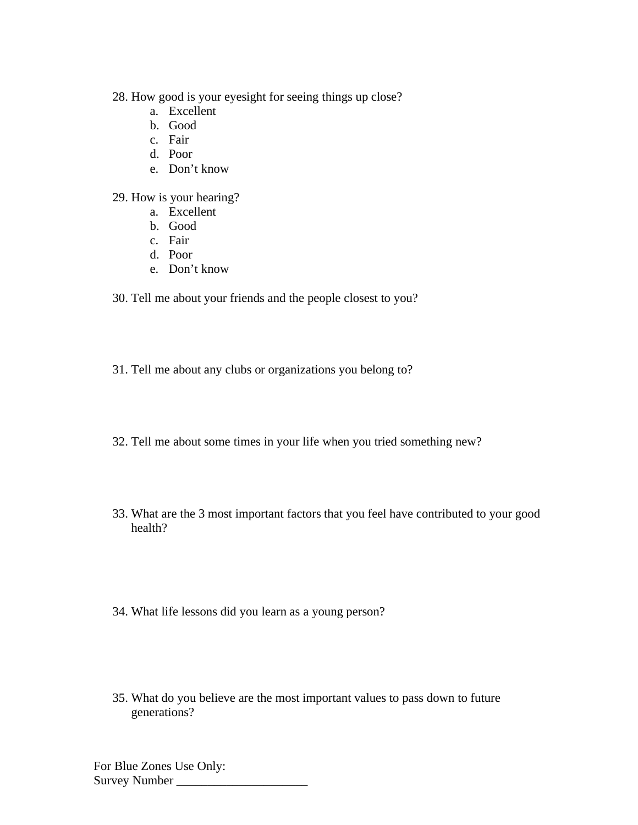28. How good is your eyesight for seeing things up close?

- a. Excellent
- b. Good
- c. Fair
- d. Poor
- e. Don't know

29. How is your hearing?

- a. Excellent
- b. Good
- c. Fair
- d. Poor
- e. Don't know

30. Tell me about your friends and the people closest to you?

- 31. Tell me about any clubs or organizations you belong to?
- 32. Tell me about some times in your life when you tried something new?
- 33. What are the 3 most important factors that you feel have contributed to your good health?
- 34. What life lessons did you learn as a young person?
- 35. What do you believe are the most important values to pass down to future generations?

For Blue Zones Use Only: Survey Number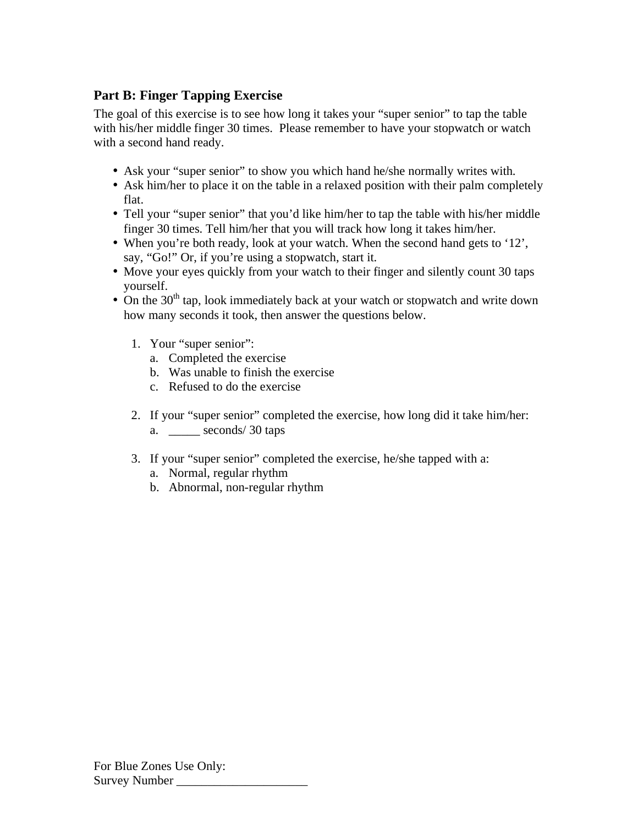# **Part B: Finger Tapping Exercise**

The goal of this exercise is to see how long it takes your "super senior" to tap the table with his/her middle finger 30 times. Please remember to have your stopwatch or watch with a second hand ready.

- Ask your "super senior" to show you which hand he/she normally writes with.
- Ask him/her to place it on the table in a relaxed position with their palm completely flat.
- Tell your "super senior" that you'd like him/her to tap the table with his/her middle finger 30 times. Tell him/her that you will track how long it takes him/her.
- When you're both ready, look at your watch. When the second hand gets to '12', say, "Go!" Or, if you're using a stopwatch, start it.
- Move your eyes quickly from your watch to their finger and silently count 30 taps yourself.
- On the  $30<sup>th</sup>$  tap, look immediately back at your watch or stopwatch and write down how many seconds it took, then answer the questions below.
	- 1. Your "super senior":
		- a. Completed the exercise
		- b. Was unable to finish the exercise
		- c. Refused to do the exercise
	- 2. If your "super senior" completed the exercise, how long did it take him/her: a. \_\_\_\_\_ seconds/ 30 taps
	- 3. If your "super senior" completed the exercise, he/she tapped with a:
		- a. Normal, regular rhythm
		- b. Abnormal, non-regular rhythm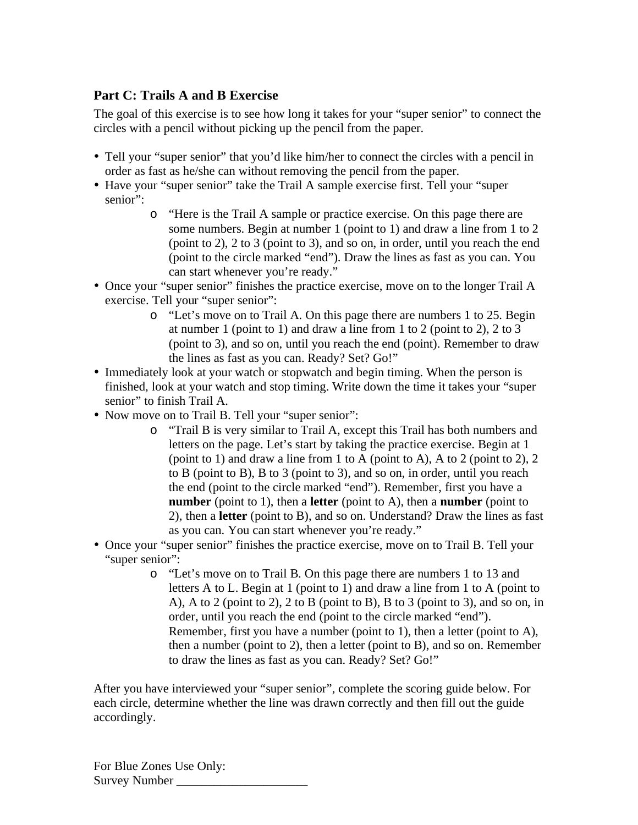## **Part C: Trails A and B Exercise**

The goal of this exercise is to see how long it takes for your "super senior" to connect the circles with a pencil without picking up the pencil from the paper.

- Tell your "super senior" that you'd like him/her to connect the circles with a pencil in order as fast as he/she can without removing the pencil from the paper.
- Have your "super senior" take the Trail A sample exercise first. Tell your "super senior":
	- o "Here is the Trail A sample or practice exercise. On this page there are some numbers. Begin at number 1 (point to 1) and draw a line from 1 to 2 (point to 2), 2 to 3 (point to 3), and so on, in order, until you reach the end (point to the circle marked "end"). Draw the lines as fast as you can. You can start whenever you're ready."
- Once your "super senior" finishes the practice exercise, move on to the longer Trail A exercise. Tell your "super senior":
	- o "Let's move on to Trail A. On this page there are numbers 1 to 25. Begin at number 1 (point to 1) and draw a line from 1 to 2 (point to 2), 2 to 3 (point to 3), and so on, until you reach the end (point). Remember to draw the lines as fast as you can. Ready? Set? Go!"
- Immediately look at your watch or stopwatch and begin timing. When the person is finished, look at your watch and stop timing. Write down the time it takes your "super senior" to finish Trail A.
- Now move on to Trail B. Tell your "super senior":
	- o "Trail B is very similar to Trail A, except this Trail has both numbers and letters on the page. Let's start by taking the practice exercise. Begin at 1 (point to 1) and draw a line from 1 to A (point to A), A to 2 (point to 2), 2 to B (point to B), B to 3 (point to 3), and so on, in order, until you reach the end (point to the circle marked "end"). Remember, first you have a **number** (point to 1), then a **letter** (point to A), then a **number** (point to 2), then a **letter** (point to B), and so on. Understand? Draw the lines as fast as you can. You can start whenever you're ready."
- Once your "super senior" finishes the practice exercise, move on to Trail B. Tell your "super senior":
	- o "Let's move on to Trail B. On this page there are numbers 1 to 13 and letters A to L. Begin at 1 (point to 1) and draw a line from 1 to A (point to A), A to 2 (point to 2), 2 to B (point to B), B to 3 (point to 3), and so on, in order, until you reach the end (point to the circle marked "end"). Remember, first you have a number (point to 1), then a letter (point to A), then a number (point to 2), then a letter (point to B), and so on. Remember to draw the lines as fast as you can. Ready? Set? Go!"

After you have interviewed your "super senior", complete the scoring guide below. For each circle, determine whether the line was drawn correctly and then fill out the guide accordingly.